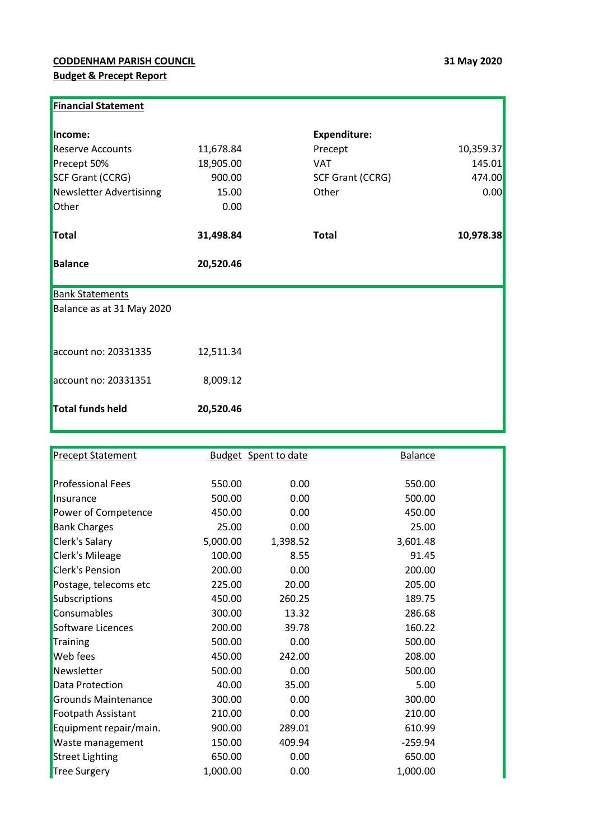## **CODDENHAM PARISH COUNCIL 31 May 2020 Budget & Precept Report**

| <b>Financial Statement</b> |           |                     |           |
|----------------------------|-----------|---------------------|-----------|
| Income:                    |           | <b>Expenditure:</b> |           |
| <b>Reserve Accounts</b>    | 11,678.84 | Precept             | 10,359.37 |
| Precept 50%                | 18,905.00 | <b>VAT</b>          | 145.01    |
| <b>SCF Grant (CCRG)</b>    | 900.00    | SCF Grant (CCRG)    | 474.00    |
| Newsletter Advertisinng    | 15.00     | Other               | 0.00      |
| Other                      | 0.00      |                     |           |
| Total                      | 31,498.84 | <b>Total</b>        | 10,978.38 |
| <b>Balance</b>             | 20,520.46 |                     |           |
| <b>Bank Statements</b>     |           |                     |           |
| Balance as at 31 May 2020  |           |                     |           |
|                            |           |                     |           |
| account no: 20331335       | 12,511.34 |                     |           |
| account no: 20331351       | 8,009.12  |                     |           |
| <b>Total funds held</b>    | 20,520.46 |                     |           |

| <b>Precept Statement</b>   |          | <b>Budget</b> Spent to date | <b>Balance</b> |  |
|----------------------------|----------|-----------------------------|----------------|--|
|                            |          |                             |                |  |
| <b>Professional Fees</b>   | 550.00   | 0.00                        | 550.00         |  |
| Insurance                  | 500.00   | 0.00                        | 500.00         |  |
| Power of Competence        | 450.00   | 0.00                        | 450.00         |  |
| <b>Bank Charges</b>        | 25.00    | 0.00                        | 25.00          |  |
| Clerk's Salary             | 5,000.00 | 1,398.52                    | 3,601.48       |  |
| <b>Clerk's Mileage</b>     | 100.00   | 8.55                        | 91.45          |  |
| <b>Clerk's Pension</b>     | 200.00   | 0.00                        | 200.00         |  |
| Postage, telecoms etc      | 225.00   | 20.00                       | 205.00         |  |
| Subscriptions              | 450.00   | 260.25                      | 189.75         |  |
| Consumables                | 300.00   | 13.32                       | 286.68         |  |
| Software Licences          | 200.00   | 39.78                       | 160.22         |  |
| Training                   | 500.00   | 0.00                        | 500.00         |  |
| <b>Web</b> fees            | 450.00   | 242.00                      | 208.00         |  |
| Newsletter                 | 500.00   | 0.00                        | 500.00         |  |
| Data Protection            | 40.00    | 35.00                       | 5.00           |  |
| <b>Grounds Maintenance</b> | 300.00   | 0.00                        | 300.00         |  |
| Footpath Assistant         | 210.00   | 0.00                        | 210.00         |  |
| Equipment repair/main.     | 900.00   | 289.01                      | 610.99         |  |
| Waste management           | 150.00   | 409.94                      | $-259.94$      |  |
| <b>Street Lighting</b>     | 650.00   | 0.00                        | 650.00         |  |
| Tree Surgery               | 1,000.00 | 0.00                        | 1,000.00       |  |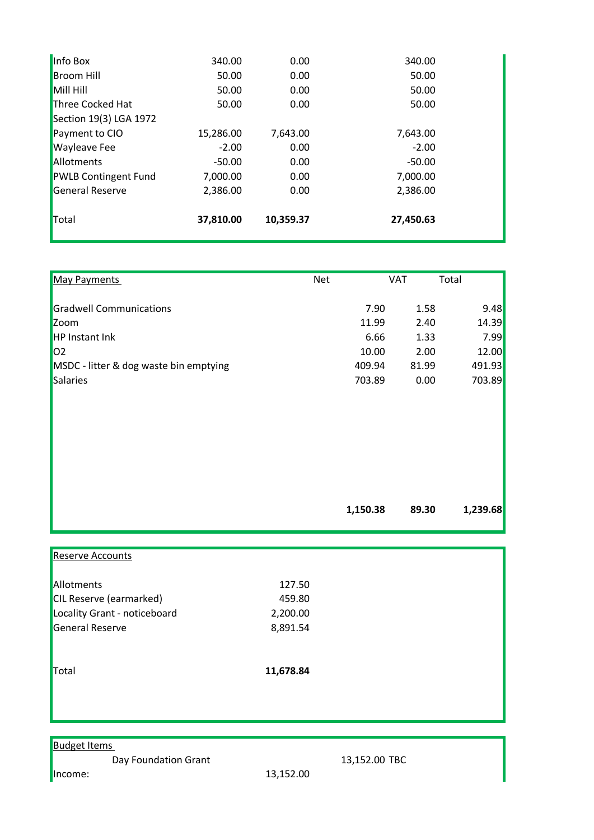| Three Cocked Hat<br>Section 19(3) LGA 1972 | 50.00     | 0.00     | 50.00    |  |
|--------------------------------------------|-----------|----------|----------|--|
| Payment to CIO                             | 15,286.00 | 7,643.00 | 7,643.00 |  |
| <b>Wayleave Fee</b>                        | $-2.00$   | 0.00     | $-2.00$  |  |
| Allotments                                 | $-50.00$  | 0.00     | $-50.00$ |  |
| <b>PWLB Contingent Fund</b>                | 7,000.00  | 0.00     | 7,000.00 |  |
| General Reserve                            | 2,386.00  | 0.00     | 2,386.00 |  |
|                                            |           |          |          |  |

| <b>May Payments</b>                    | <b>Net</b> | <b>VAT</b> | Total    |
|----------------------------------------|------------|------------|----------|
| <b>Gradwell Communications</b>         | 7.90       | 1.58       | 9.48     |
| Zoom                                   | 11.99      | 2.40       | 14.39    |
| <b>HP Instant Ink</b>                  | 6.66       | 1.33       | 7.99     |
| 02                                     | 10.00      | 2.00       | 12.00    |
| MSDC - litter & dog waste bin emptying | 409.94     | 81.99      | 491.93   |
| Salaries                               | 703.89     | 0.00       | 703.89   |
|                                        |            |            |          |
|                                        | 1,150.38   | 89.30      | 1,239.68 |
|                                        |            |            |          |

| <b>Reserve Accounts</b>      |           |  |
|------------------------------|-----------|--|
| Allotments                   | 127.50    |  |
| CIL Reserve (earmarked)      | 459.80    |  |
| Locality Grant - noticeboard | 2,200.00  |  |
| General Reserve              | 8,891.54  |  |
| Total                        | 11,678.84 |  |
|                              |           |  |
|                              |           |  |

## **Budget Items**

Day Foundation Grant 13,152.00 TBC

**Income:** 13,152.00